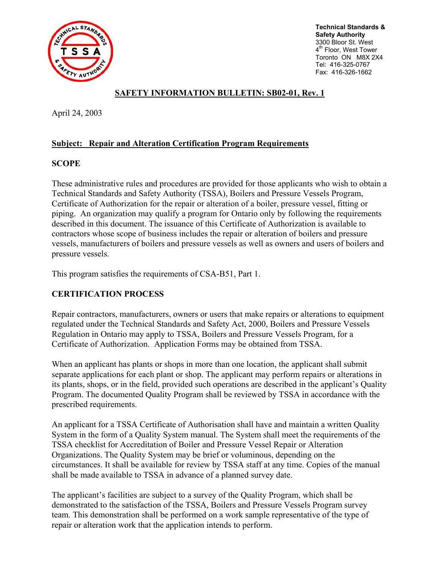

**Technical Standards & Safety Authority**  3300 Bloor St. West 4<sup>th</sup> Floor, West Tower Toronto ON M8X 2X4 Tel: 416-325-0767 Fax: 416-326-1662

# **SAFETY INFORMATION BULLETIN: SB02-01, Rev. 1**

April 24, 2003

### **Subject: Repair and Alteration Certification Program Requirements**

### **SCOPE**

These administrative rules and procedures are provided for those applicants who wish to obtain a Technical Standards and Safety Authority (TSSA), Boilers and Pressure Vessels Program, Certificate of Authorization for the repair or alteration of a boiler, pressure vessel, fitting or piping. An organization may qualify a program for Ontario only by following the requirements described in this document. The issuance of this Certificate of Authorization is available to contractors whose scope of business includes the repair or alteration of boilers and pressure vessels, manufacturers of boilers and pressure vessels as well as owners and users of boilers and pressure vessels.

This program satisfies the requirements of CSA-B51, Part 1.

## **CERTIFICATION PROCESS**

Repair contractors, manufacturers, owners or users that make repairs or alterations to equipment regulated under the Technical Standards and Safety Act, 2000, Boilers and Pressure Vessels Regulation in Ontario may apply to TSSA, Boilers and Pressure Vessels Program, for a Certificate of Authorization. Application Forms may be obtained from TSSA.

When an applicant has plants or shops in more than one location, the applicant shall submit separate applications for each plant or shop. The applicant may perform repairs or alterations in its plants, shops, or in the field, provided such operations are described in the applicant's Quality Program. The documented Quality Program shall be reviewed by TSSA in accordance with the prescribed requirements.

An applicant for a TSSA Certificate of Authorisation shall have and maintain a written Quality System in the form of a Quality System manual. The System shall meet the requirements of the TSSA checklist for Accreditation of Boiler and Pressure Vessel Repair or Alteration Organizations. The Quality System may be brief or voluminous, depending on the circumstances. It shall be available for review by TSSA staff at any time. Copies of the manual shall be made available to TSSA in advance of a planned survey date.

The applicant's facilities are subject to a survey of the Quality Program, which shall be demonstrated to the satisfaction of the TSSA, Boilers and Pressure Vessels Program survey team. This demonstration shall be performed on a work sample representative of the type of repair or alteration work that the application intends to perform.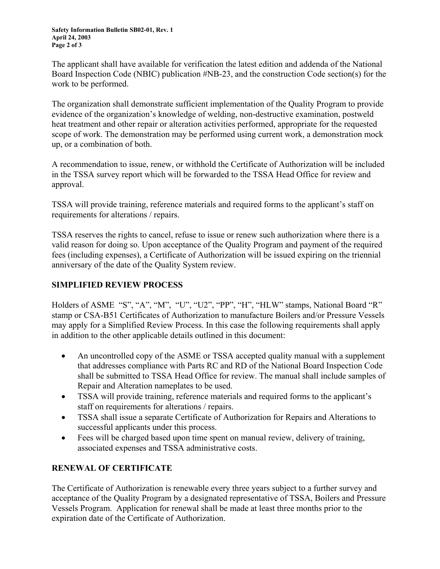The applicant shall have available for verification the latest edition and addenda of the National Board Inspection Code (NBIC) publication #NB-23, and the construction Code section(s) for the work to be performed.

The organization shall demonstrate sufficient implementation of the Quality Program to provide evidence of the organization's knowledge of welding, non-destructive examination, postweld heat treatment and other repair or alteration activities performed, appropriate for the requested scope of work. The demonstration may be performed using current work, a demonstration mock up, or a combination of both.

A recommendation to issue, renew, or withhold the Certificate of Authorization will be included in the TSSA survey report which will be forwarded to the TSSA Head Office for review and approval.

TSSA will provide training, reference materials and required forms to the applicant's staff on requirements for alterations / repairs.

TSSA reserves the rights to cancel, refuse to issue or renew such authorization where there is a valid reason for doing so. Upon acceptance of the Quality Program and payment of the required fees (including expenses), a Certificate of Authorization will be issued expiring on the triennial anniversary of the date of the Quality System review.

# **SIMPLIFIED REVIEW PROCESS**

Holders of ASME "S", "A", "M", "U", "U2", "PP", "H", "HLW" stamps, National Board "R" stamp or CSA-B51 Certificates of Authorization to manufacture Boilers and/or Pressure Vessels may apply for a Simplified Review Process. In this case the following requirements shall apply in addition to the other applicable details outlined in this document:

- An uncontrolled copy of the ASME or TSSA accepted quality manual with a supplement that addresses compliance with Parts RC and RD of the National Board Inspection Code shall be submitted to TSSA Head Office for review. The manual shall include samples of Repair and Alteration nameplates to be used.
- TSSA will provide training, reference materials and required forms to the applicant's staff on requirements for alterations / repairs.
- TSSA shall issue a separate Certificate of Authorization for Repairs and Alterations to successful applicants under this process.
- Fees will be charged based upon time spent on manual review, delivery of training, associated expenses and TSSA administrative costs.

## **RENEWAL OF CERTIFICATE**

The Certificate of Authorization is renewable every three years subject to a further survey and acceptance of the Quality Program by a designated representative of TSSA, Boilers and Pressure Vessels Program. Application for renewal shall be made at least three months prior to the expiration date of the Certificate of Authorization.